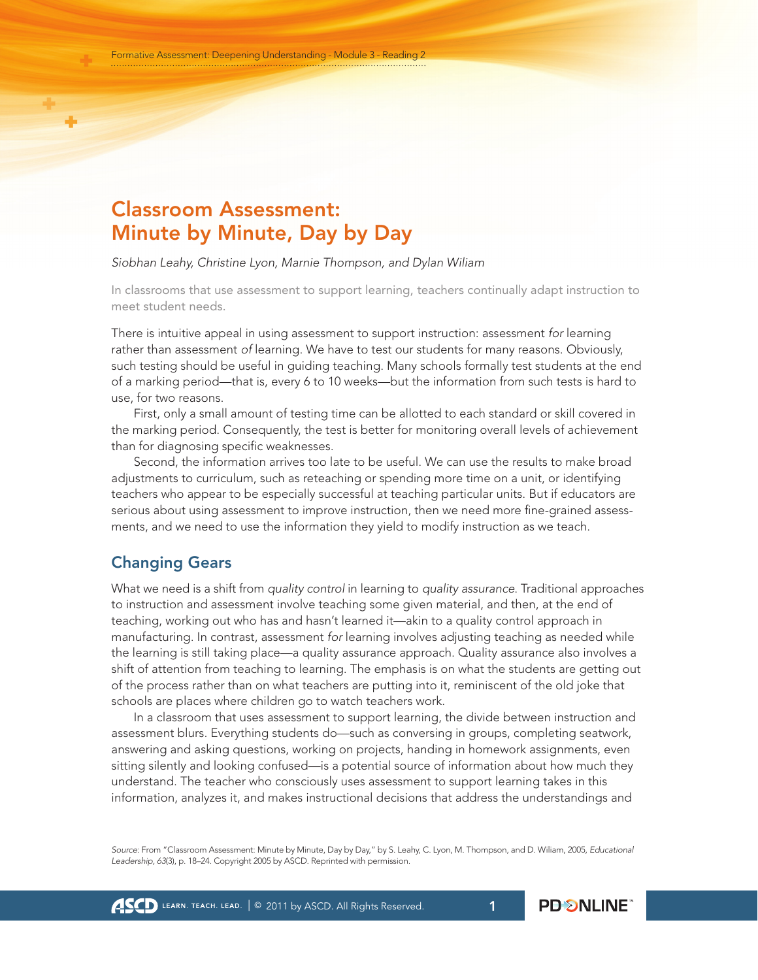Siobhan Leahy, Christine Lyon, Marnie Thompson, and Dylan Wiliam

In classrooms that use assessment to support learning, teachers continually adapt instruction to meet student needs.

There is intuitive appeal in using assessment to support instruction: assessment for learning rather than assessment of learning. We have to test our students for many reasons. Obviously, such testing should be useful in guiding teaching. Many schools formally test students at the end of a marking period—that is, every 6 to 10 weeks—but the information from such tests is hard to use, for two reasons.

First, only a small amount of testing time can be allotted to each standard or skill covered in the marking period. Consequently, the test is better for monitoring overall levels of achievement than for diagnosing specific weaknesses.

Second, the information arrives too late to be useful. We can use the results to make broad adjustments to curriculum, such as reteaching or spending more time on a unit, or identifying teachers who appear to be especially successful at teaching particular units. But if educators are serious about using assessment to improve instruction, then we need more fine-grained assessments, and we need to use the information they yield to modify instruction as we teach.

## **Changing Gears**

What we need is a shift from quality control in learning to quality assurance. Traditional approaches to instruction and assessment involve teaching some given material, and then, at the end of teaching, working out who has and hasn't learned it—akin to a quality control approach in manufacturing. In contrast, assessment for learning involves adjusting teaching as needed while the learning is still taking place—a quality assurance approach. Quality assurance also involves a shift of attention from teaching to learning. The emphasis is on what the students are getting out of the process rather than on what teachers are putting into it, reminiscent of the old joke that schools are places where children go to watch teachers work.

In a classroom that uses assessment to support learning, the divide between instruction and assessment blurs. Everything students do—such as conversing in groups, completing seatwork, answering and asking questions, working on projects, handing in homework assignments, even sitting silently and looking confused—is a potential source of information about how much they understand. The teacher who consciously uses assessment to support learning takes in this information, analyzes it, and makes instructional decisions that address the understandings and

Source: From "Classroom Assessment: Minute by Minute, Day by Day," by S. Leahy, C. Lyon, M. Thompson, and D. Wiliam, 2005, Educational Leadership, 63(3), p. 18–24. Copyright 2005 by ASCD. Reprinted with permission.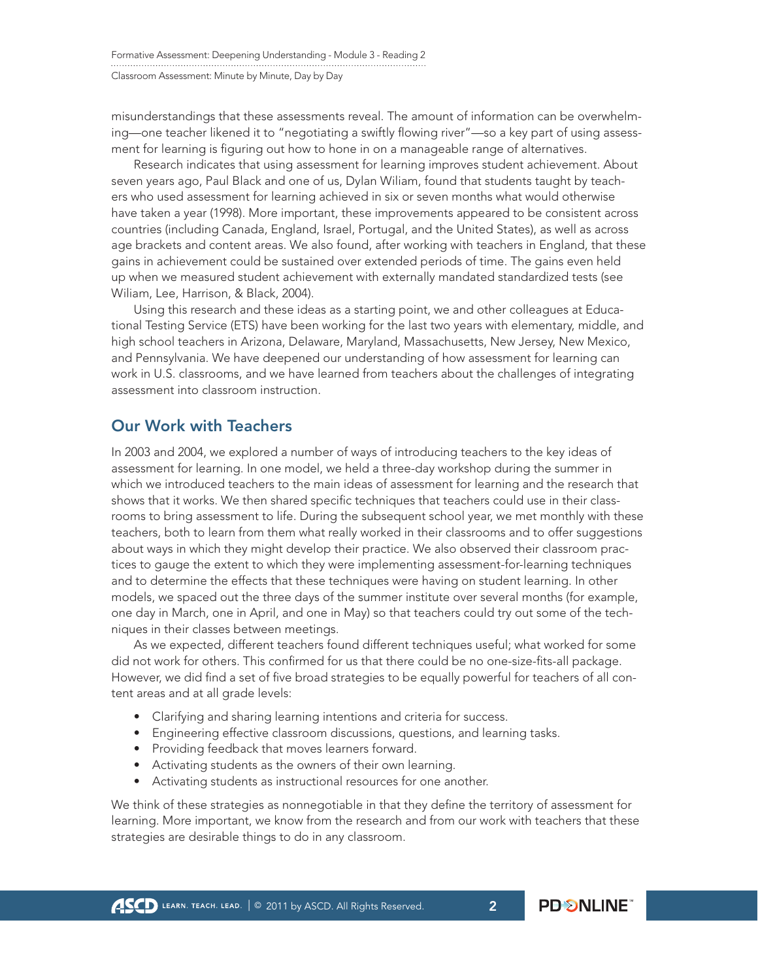misunderstandings that these assessments reveal. The amount of information can be overwhelming—one teacher likened it to "negotiating a swiftly flowing river"—so a key part of using assessment for learning is figuring out how to hone in on a manageable range of alternatives.

Research indicates that using assessment for learning improves student achievement. About seven years ago, Paul Black and one of us, Dylan Wiliam, found that students taught by teachers who used assessment for learning achieved in six or seven months what would otherwise have taken a year (1998). More important, these improvements appeared to be consistent across countries (including Canada, England, Israel, Portugal, and the United States), as well as across age brackets and content areas. We also found, after working with teachers in England, that these gains in achievement could be sustained over extended periods of time. The gains even held up when we measured student achievement with externally mandated standardized tests (see Wiliam, Lee, Harrison, & Black, 2004).

Using this research and these ideas as a starting point, we and other colleagues at Educational Testing Service (ETS) have been working for the last two years with elementary, middle, and high school teachers in Arizona, Delaware, Maryland, Massachusetts, New Jersey, New Mexico, and Pennsylvania. We have deepened our understanding of how assessment for learning can work in U.S. classrooms, and we have learned from teachers about the challenges of integrating assessment into classroom instruction.

### **Our Work with Teachers**

In 2003 and 2004, we explored a number of ways of introducing teachers to the key ideas of assessment for learning. In one model, we held a three-day workshop during the summer in which we introduced teachers to the main ideas of assessment for learning and the research that shows that it works. We then shared specific techniques that teachers could use in their classrooms to bring assessment to life. During the subsequent school year, we met monthly with these teachers, both to learn from them what really worked in their classrooms and to offer suggestions about ways in which they might develop their practice. We also observed their classroom practices to gauge the extent to which they were implementing assessment-for-learning techniques and to determine the effects that these techniques were having on student learning. In other models, we spaced out the three days of the summer institute over several months (for example, one day in March, one in April, and one in May) so that teachers could try out some of the techniques in their classes between meetings.

As we expected, different teachers found different techniques useful; what worked for some did not work for others. This confirmed for us that there could be no one-size-fits-all package. However, we did find a set of five broad strategies to be equally powerful for teachers of all content areas and at all grade levels:

- Clarifying and sharing learning intentions and criteria for success.
- Engineering effective classroom discussions, questions, and learning tasks.
- Providing feedback that moves learners forward.
- Activating students as the owners of their own learning.
- Activating students as instructional resources for one another.

We think of these strategies as nonnegotiable in that they define the territory of assessment for learning. More important, we know from the research and from our work with teachers that these strategies are desirable things to do in any classroom.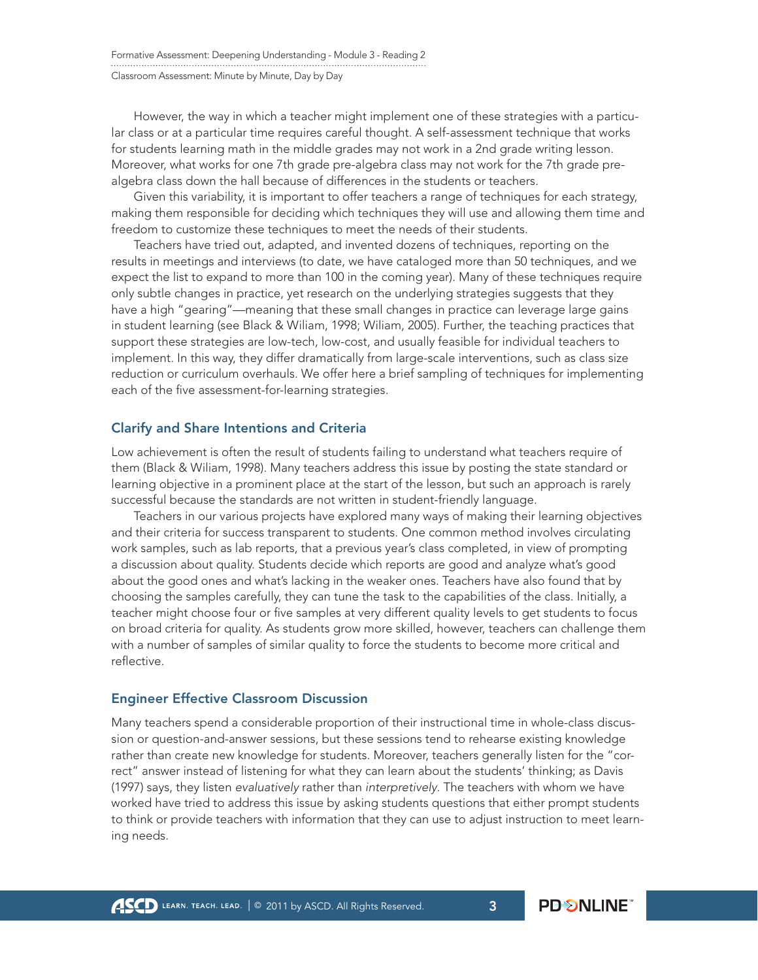However, the way in which a teacher might implement one of these strategies with a particular class or at a particular time requires careful thought. A self-assessment technique that works for students learning math in the middle grades may not work in a 2nd grade writing lesson. Moreover, what works for one 7th grade pre-algebra class may not work for the 7th grade prealgebra class down the hall because of differences in the students or teachers.

Given this variability, it is important to offer teachers a range of techniques for each strategy, making them responsible for deciding which techniques they will use and allowing them time and freedom to customize these techniques to meet the needs of their students.

Teachers have tried out, adapted, and invented dozens of techniques, reporting on the results in meetings and interviews (to date, we have cataloged more than 50 techniques, and we expect the list to expand to more than 100 in the coming year). Many of these techniques require only subtle changes in practice, yet research on the underlying strategies suggests that they have a high "gearing"—meaning that these small changes in practice can leverage large gains in student learning (see Black & Wiliam, 1998; Wiliam, 2005). Further, the teaching practices that support these strategies are low-tech, low-cost, and usually feasible for individual teachers to implement. In this way, they differ dramatically from large-scale interventions, such as class size reduction or curriculum overhauls. We offer here a brief sampling of techniques for implementing each of the five assessment-for-learning strategies.

#### **Clarify and Share Intentions and Criteria**

Low achievement is often the result of students failing to understand what teachers require of them (Black & Wiliam, 1998). Many teachers address this issue by posting the state standard or learning objective in a prominent place at the start of the lesson, but such an approach is rarely successful because the standards are not written in student-friendly language.

Teachers in our various projects have explored many ways of making their learning objectives and their criteria for success transparent to students. One common method involves circulating work samples, such as lab reports, that a previous year's class completed, in view of prompting a discussion about quality. Students decide which reports are good and analyze what's good about the good ones and what's lacking in the weaker ones. Teachers have also found that by choosing the samples carefully, they can tune the task to the capabilities of the class. Initially, a teacher might choose four or five samples at very different quality levels to get students to focus on broad criteria for quality. As students grow more skilled, however, teachers can challenge them with a number of samples of similar quality to force the students to become more critical and reflective.

#### **Engineer Effective Classroom Discussion**

Many teachers spend a considerable proportion of their instructional time in whole-class discussion or question-and-answer sessions, but these sessions tend to rehearse existing knowledge rather than create new knowledge for students. Moreover, teachers generally listen for the "correct" answer instead of listening for what they can learn about the students' thinking; as Davis (1997) says, they listen evaluatively rather than interpretively. The teachers with whom we have worked have tried to address this issue by asking students questions that either prompt students to think or provide teachers with information that they can use to adjust instruction to meet learning needs.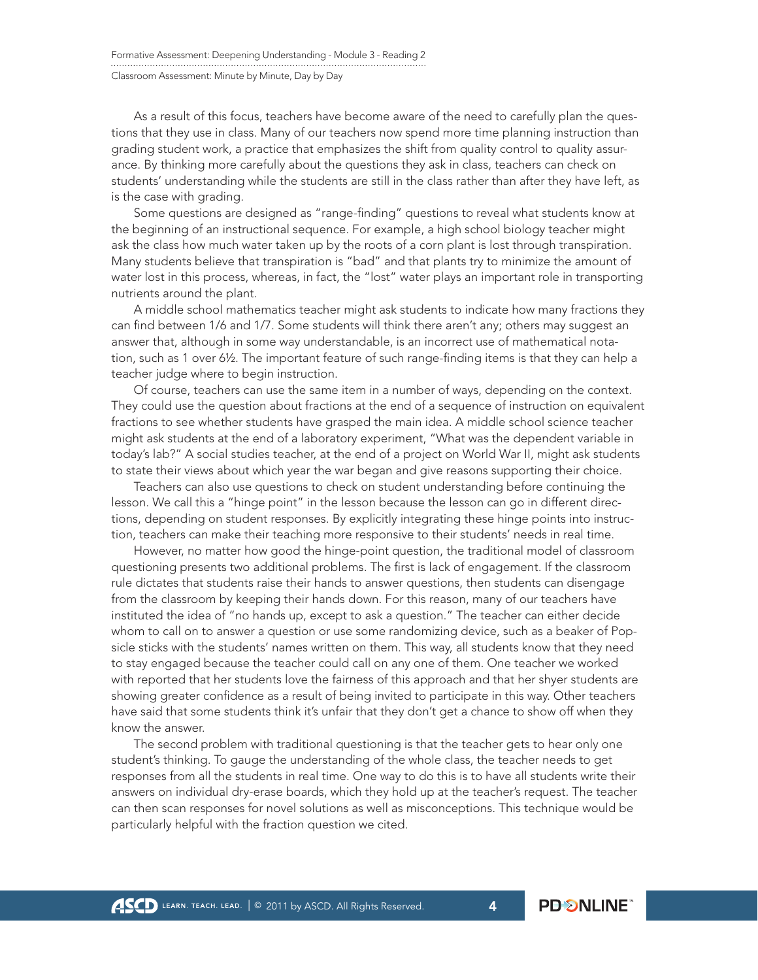As a result of this focus, teachers have become aware of the need to carefully plan the questions that they use in class. Many of our teachers now spend more time planning instruction than grading student work, a practice that emphasizes the shift from quality control to quality assurance. By thinking more carefully about the questions they ask in class, teachers can check on students' understanding while the students are still in the class rather than after they have left, as is the case with grading.

Some questions are designed as "range-finding" questions to reveal what students know at the beginning of an instructional sequence. For example, a high school biology teacher might ask the class how much water taken up by the roots of a corn plant is lost through transpiration. Many students believe that transpiration is "bad" and that plants try to minimize the amount of water lost in this process, whereas, in fact, the "lost" water plays an important role in transporting nutrients around the plant.

A middle school mathematics teacher might ask students to indicate how many fractions they can find between 1/6 and 1/7. Some students will think there aren't any; others may suggest an answer that, although in some way understandable, is an incorrect use of mathematical notation, such as 1 over 6½. The important feature of such range-finding items is that they can help a teacher judge where to begin instruction.

Of course, teachers can use the same item in a number of ways, depending on the context. They could use the question about fractions at the end of a sequence of instruction on equivalent fractions to see whether students have grasped the main idea. A middle school science teacher might ask students at the end of a laboratory experiment, "What was the dependent variable in today's lab?" A social studies teacher, at the end of a project on World War II, might ask students to state their views about which year the war began and give reasons supporting their choice.

Teachers can also use questions to check on student understanding before continuing the lesson. We call this a "hinge point" in the lesson because the lesson can go in different directions, depending on student responses. By explicitly integrating these hinge points into instruction, teachers can make their teaching more responsive to their students' needs in real time.

However, no matter how good the hinge-point question, the traditional model of classroom questioning presents two additional problems. The first is lack of engagement. If the classroom rule dictates that students raise their hands to answer questions, then students can disengage from the classroom by keeping their hands down. For this reason, many of our teachers have instituted the idea of "no hands up, except to ask a question." The teacher can either decide whom to call on to answer a question or use some randomizing device, such as a beaker of Popsicle sticks with the students' names written on them. This way, all students know that they need to stay engaged because the teacher could call on any one of them. One teacher we worked with reported that her students love the fairness of this approach and that her shyer students are showing greater confidence as a result of being invited to participate in this way. Other teachers have said that some students think it's unfair that they don't get a chance to show off when they know the answer.

The second problem with traditional questioning is that the teacher gets to hear only one student's thinking. To gauge the understanding of the whole class, the teacher needs to get responses from all the students in real time. One way to do this is to have all students write their answers on individual dry-erase boards, which they hold up at the teacher's request. The teacher can then scan responses for novel solutions as well as misconceptions. This technique would be particularly helpful with the fraction question we cited.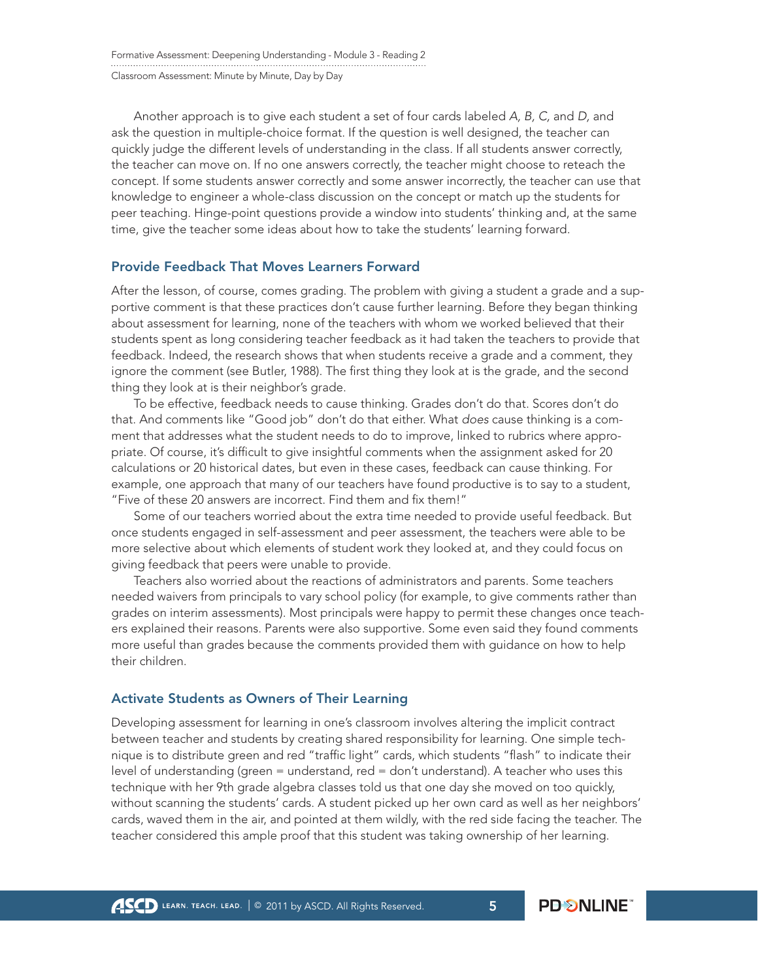Another approach is to give each student a set of four cards labeled A, B, C, and D, and ask the question in multiple-choice format. If the question is well designed, the teacher can quickly judge the different levels of understanding in the class. If all students answer correctly, the teacher can move on. If no one answers correctly, the teacher might choose to reteach the concept. If some students answer correctly and some answer incorrectly, the teacher can use that knowledge to engineer a whole-class discussion on the concept or match up the students for peer teaching. Hinge-point questions provide a window into students' thinking and, at the same time, give the teacher some ideas about how to take the students' learning forward.

### **Provide Feedback That Moves Learners Forward**

After the lesson, of course, comes grading. The problem with giving a student a grade and a supportive comment is that these practices don't cause further learning. Before they began thinking about assessment for learning, none of the teachers with whom we worked believed that their students spent as long considering teacher feedback as it had taken the teachers to provide that feedback. Indeed, the research shows that when students receive a grade and a comment, they ignore the comment (see Butler, 1988). The first thing they look at is the grade, and the second thing they look at is their neighbor's grade.

To be effective, feedback needs to cause thinking. Grades don't do that. Scores don't do that. And comments like "Good job" don't do that either. What does cause thinking is a comment that addresses what the student needs to do to improve, linked to rubrics where appropriate. Of course, it's difficult to give insightful comments when the assignment asked for 20 calculations or 20 historical dates, but even in these cases, feedback can cause thinking. For example, one approach that many of our teachers have found productive is to say to a student, "Five of these 20 answers are incorrect. Find them and fix them!"

Some of our teachers worried about the extra time needed to provide useful feedback. But once students engaged in self-assessment and peer assessment, the teachers were able to be more selective about which elements of student work they looked at, and they could focus on giving feedback that peers were unable to provide.

Teachers also worried about the reactions of administrators and parents. Some teachers needed waivers from principals to vary school policy (for example, to give comments rather than grades on interim assessments). Most principals were happy to permit these changes once teachers explained their reasons. Parents were also supportive. Some even said they found comments more useful than grades because the comments provided them with guidance on how to help their children.

#### **Activate Students as Owners of Their Learning**

Developing assessment for learning in one's classroom involves altering the implicit contract between teacher and students by creating shared responsibility for learning. One simple technique is to distribute green and red "traffic light" cards, which students "flash" to indicate their level of understanding (green = understand, red = don't understand). A teacher who uses this technique with her 9th grade algebra classes told us that one day she moved on too quickly, without scanning the students' cards. A student picked up her own card as well as her neighbors' cards, waved them in the air, and pointed at them wildly, with the red side facing the teacher. The teacher considered this ample proof that this student was taking ownership of her learning.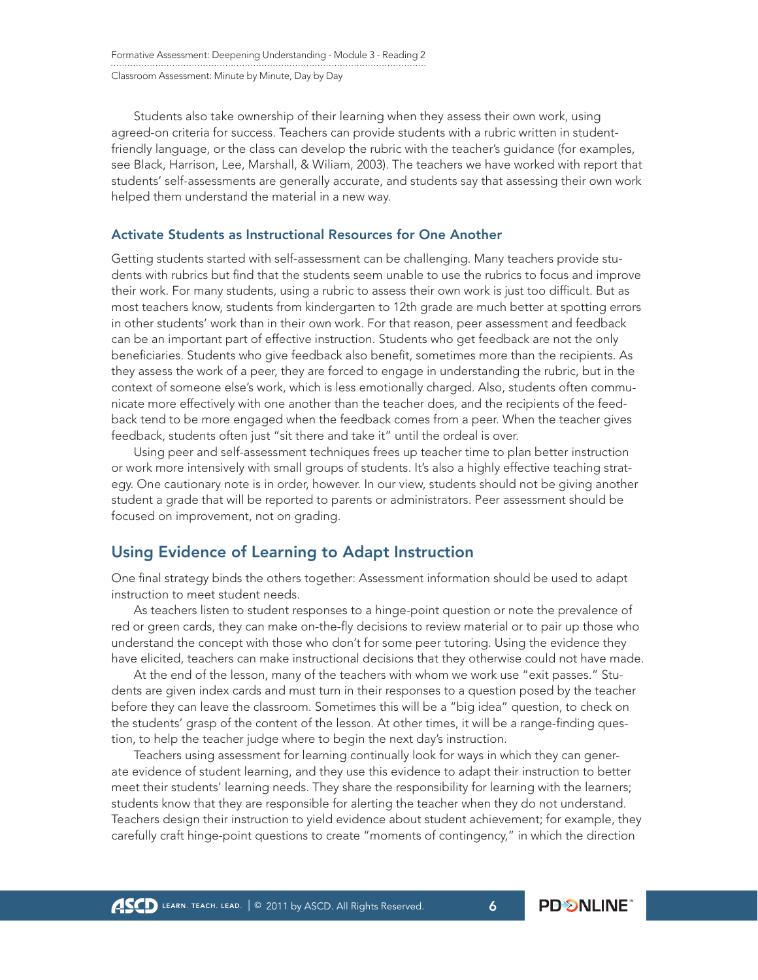Students also take ownership of their learning when they assess their own work, using agreed-on criteria for success. Teachers can provide students with a rubric written in studentfriendly language, or the class can develop the rubric with the teacher's guidance (for examples, see Black, Harrison, Lee, Marshall, & Wiliam, 2003). The teachers we have worked with report that students' self-assessments are generally accurate, and students say that assessing their own work helped them understand the material in a new way.

#### **Activate Students as Instructional Resources for One Another**

Getting students started with self-assessment can be challenging. Many teachers provide students with rubrics but find that the students seem unable to use the rubrics to focus and improve their work. For many students, using a rubric to assess their own work is just too difficult. But as most teachers know, students from kindergarten to 12th grade are much better at spotting errors in other students' work than in their own work. For that reason, peer assessment and feedback can be an important part of effective instruction. Students who get feedback are not the only beneficiaries. Students who give feedback also benefit, sometimes more than the recipients. As they assess the work of a peer, they are forced to engage in understanding the rubric, but in the context of someone else's work, which is less emotionally charged. Also, students often communicate more effectively with one another than the teacher does, and the recipients of the feedback tend to be more engaged when the feedback comes from a peer. When the teacher gives feedback, students often just "sit there and take it" until the ordeal is over.

Using peer and self-assessment techniques frees up teacher time to plan better instruction or work more intensively with small groups of students. It's also a highly effective teaching strategy. One cautionary note is in order, however. In our view, students should not be giving another student a grade that will be reported to parents or administrators. Peer assessment should be focused on improvement, not on grading.

### **Using Evidence of Learning to Adapt Instruction**

One final strategy binds the others together: Assessment information should be used to adapt instruction to meet student needs.

As teachers listen to student responses to a hinge-point question or note the prevalence of red or green cards, they can make on-the-fly decisions to review material or to pair up those who understand the concept with those who don't for some peer tutoring. Using the evidence they have elicited, teachers can make instructional decisions that they otherwise could not have made.

At the end of the lesson, many of the teachers with whom we work use "exit passes." Students are given index cards and must turn in their responses to a question posed by the teacher before they can leave the classroom. Sometimes this will be a "big idea" question, to check on the students' grasp of the content of the lesson. At other times, it will be a range-finding question, to help the teacher judge where to begin the next day's instruction.

Teachers using assessment for learning continually look for ways in which they can generate evidence of student learning, and they use this evidence to adapt their instruction to better meet their students' learning needs. They share the responsibility for learning with the learners; students know that they are responsible for alerting the teacher when they do not understand. Teachers design their instruction to yield evidence about student achievement; for example, they carefully craft hinge-point questions to create "moments of contingency," in which the direction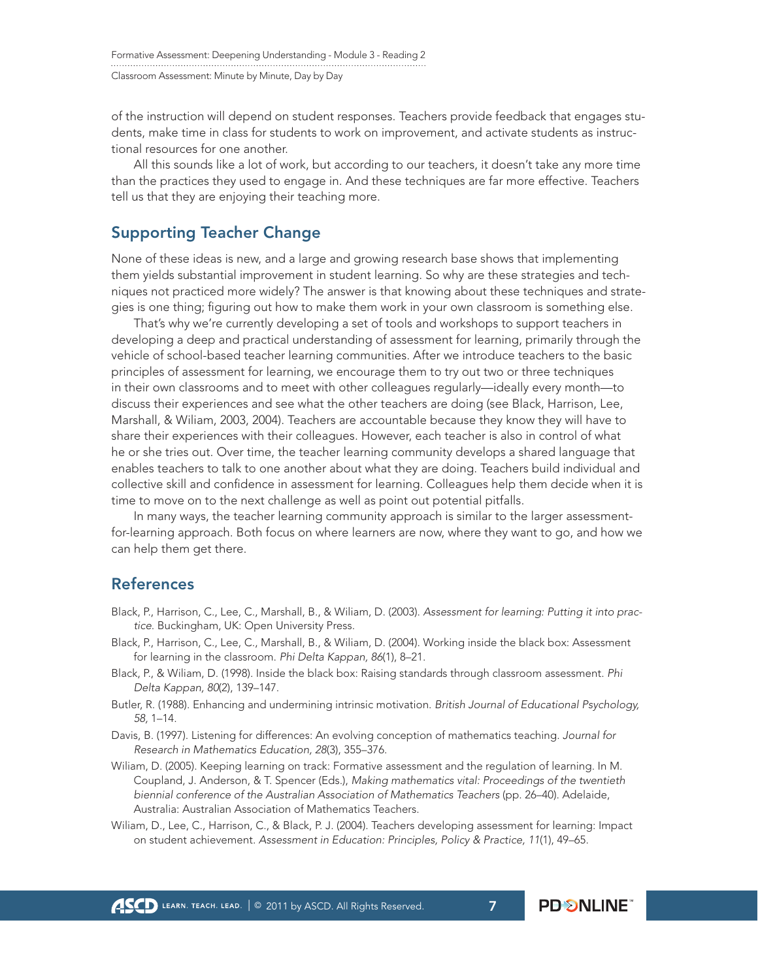of the instruction will depend on student responses. Teachers provide feedback that engages students, make time in class for students to work on improvement, and activate students as instructional resources for one another.

All this sounds like a lot of work, but according to our teachers, it doesn't take any more time than the practices they used to engage in. And these techniques are far more effective. Teachers tell us that they are enjoying their teaching more.

# **Supporting Teacher Change**

None of these ideas is new, and a large and growing research base shows that implementing them yields substantial improvement in student learning. So why are these strategies and techniques not practiced more widely? The answer is that knowing about these techniques and strategies is one thing; figuring out how to make them work in your own classroom is something else.

That's why we're currently developing a set of tools and workshops to support teachers in developing a deep and practical understanding of assessment for learning, primarily through the vehicle of school-based teacher learning communities. After we introduce teachers to the basic principles of assessment for learning, we encourage them to try out two or three techniques in their own classrooms and to meet with other colleagues regularly—ideally every month—to discuss their experiences and see what the other teachers are doing (see Black, Harrison, Lee, Marshall, & Wiliam, 2003, 2004). Teachers are accountable because they know they will have to share their experiences with their colleagues. However, each teacher is also in control of what he or she tries out. Over time, the teacher learning community develops a shared language that enables teachers to talk to one another about what they are doing. Teachers build individual and collective skill and confidence in assessment for learning. Colleagues help them decide when it is time to move on to the next challenge as well as point out potential pitfalls.

In many ways, the teacher learning community approach is similar to the larger assessmentfor-learning approach. Both focus on where learners are now, where they want to go, and how we can help them get there.

### **References**

- Black, P., Harrison, C., Lee, C., Marshall, B., & Wiliam, D. (2003). Assessment for learning: Putting it into practice. Buckingham, UK: Open University Press.
- Black, P., Harrison, C., Lee, C., Marshall, B., & Wiliam, D. (2004). Working inside the black box: Assessment for learning in the classroom. Phi Delta Kappan, 86(1), 8–21.
- Black, P., & Wiliam, D. (1998). Inside the black box: Raising standards through classroom assessment. Phi Delta Kappan, 80(2), 139–147.
- Butler, R. (1988). Enhancing and undermining intrinsic motivation. British Journal of Educational Psychology, 58, 1–14.
- Davis, B. (1997). Listening for differences: An evolving conception of mathematics teaching. Journal for Research in Mathematics Education, 28(3), 355–376.
- Wiliam, D. (2005). Keeping learning on track: Formative assessment and the regulation of learning. In M. Coupland, J. Anderson, & T. Spencer (Eds.), Making mathematics vital: Proceedings of the twentieth biennial conference of the Australian Association of Mathematics Teachers (pp. 26–40). Adelaide, Australia: Australian Association of Mathematics Teachers.
- Wiliam, D., Lee, C., Harrison, C., & Black, P. J. (2004). Teachers developing assessment for learning: Impact on student achievement. Assessment in Education: Principles, Policy & Practice, 11(1), 49–65.